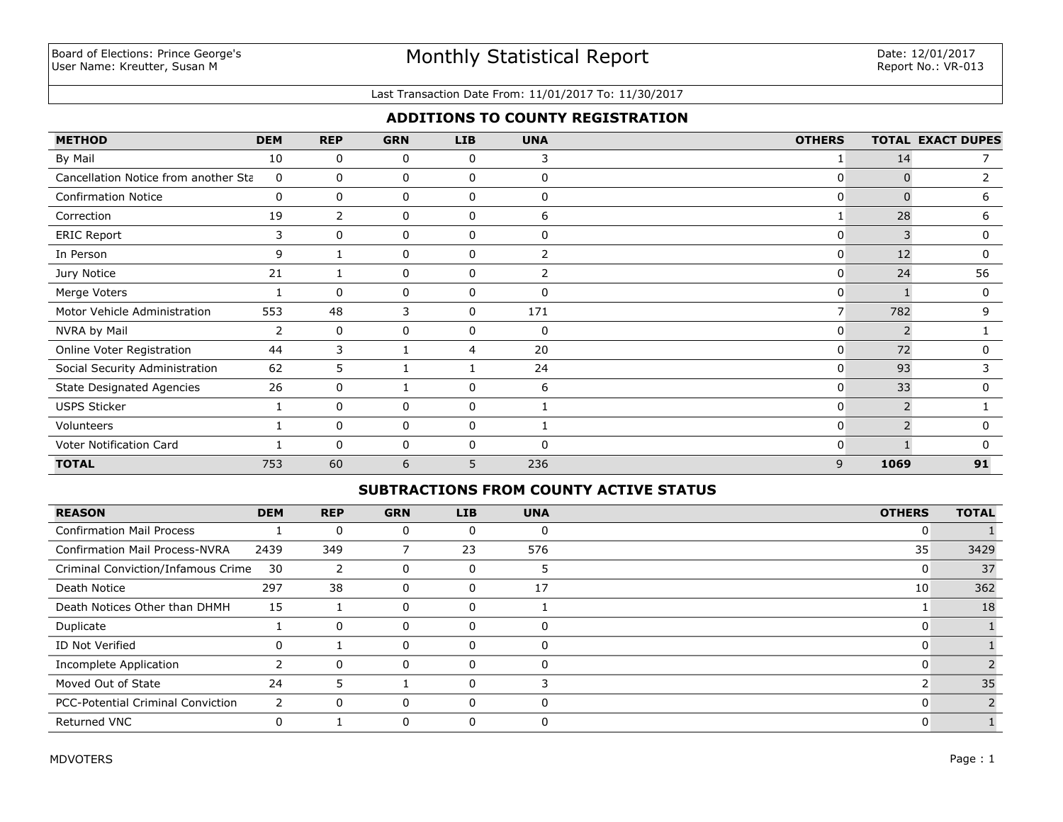#### Last Transaction Date From: 11/01/2017 To: 11/30/2017

## **ADDITIONS TO COUNTY REGISTRATION**

| <b>METHOD</b>                        | <b>DEM</b> | <b>REP</b>     | <b>GRN</b> | LIB          | <b>UNA</b> | <b>OTHERS</b>  |               | <b>TOTAL EXACT DUPES</b> |
|--------------------------------------|------------|----------------|------------|--------------|------------|----------------|---------------|--------------------------|
| By Mail                              | 10         | 0              | 0          | 0            | 3          |                | 14            |                          |
| Cancellation Notice from another Sta | 0          | 0              | 0          | $\mathbf{0}$ | 0          | 0              | 0             | $\overline{2}$           |
| <b>Confirmation Notice</b>           | 0          | $\mathbf{0}$   | 0          | $\mathbf{0}$ | $\Omega$   | $\mathbf{0}$   | 0             | 6                        |
| Correction                           | 19         | $\overline{2}$ | 0          | $\mathbf{0}$ | 6          |                | 28            | 6                        |
| <b>ERIC Report</b>                   | 3          | $\mathbf{0}$   | 0          | 0            | 0          | $\overline{0}$ | 3             | 0                        |
| In Person                            | 9          |                | 0          | 0            |            | $\overline{0}$ | 12            | 0                        |
| Jury Notice                          | 21         |                | 0          | 0            | 2          | $\overline{0}$ | 24            | 56                       |
| Merge Voters                         |            | $\Omega$       | 0          | 0            | 0          | $\overline{0}$ |               | 0                        |
| Motor Vehicle Administration         | 553        | 48             | 3          | 0            | 171        | 7 <sup>1</sup> | 782           | 9                        |
| NVRA by Mail                         | 2          | 0              | 0          | 0            | 0          | $\mathbf{0}$   | $\mathcal{P}$ |                          |
| Online Voter Registration            | 44         | 3              |            | 4            | 20         | $\mathbf{0}$   | 72            | 0                        |
| Social Security Administration       | 62         | 5              |            |              | 24         | $\overline{0}$ | 93            | 3                        |
| <b>State Designated Agencies</b>     | 26         | $\mathbf{0}$   |            | $\mathbf{0}$ | 6          | $\overline{0}$ | 33            | 0                        |
| <b>USPS Sticker</b>                  |            | $\mathbf{0}$   | 0          | 0            |            | $\mathbf{0}$   |               |                          |
| Volunteers                           |            | $\Omega$       | 0          | $\mathbf{0}$ |            | 0              |               | $\Omega$                 |
| Voter Notification Card              |            | $\Omega$       | 0          | $\mathbf{0}$ | $\Omega$   | $\Omega$       |               | $\Omega$                 |
| <b>TOTAL</b>                         | 753        | 60             | 6          | 5            | 236        | 9              | 1069          | 91                       |

#### **SUBTRACTIONS FROM COUNTY ACTIVE STATUS**

| <b>REASON</b>                            | <b>DEM</b> | <b>REP</b> | <b>GRN</b> | <b>LIB</b> | <b>UNA</b> | <b>OTHERS</b> | <b>TOTAL</b> |
|------------------------------------------|------------|------------|------------|------------|------------|---------------|--------------|
| <b>Confirmation Mail Process</b>         |            | 0          |            |            | $\Omega$   |               |              |
| <b>Confirmation Mail Process-NVRA</b>    | 2439       | 349        |            | 23         | 576        | 35            | 3429         |
| Criminal Conviction/Infamous Crime       | 30         |            |            |            | э          |               | 37           |
| Death Notice                             | 297        | 38         | 0          | O          | 17         | 10            | 362          |
| Death Notices Other than DHMH            | 15         |            |            |            |            |               | 18           |
| Duplicate                                |            | 0          |            |            | 0          |               |              |
| ID Not Verified                          | 0          |            |            |            | 0          |               |              |
| Incomplete Application                   |            | 0          | 0          |            | $\Omega$   |               |              |
| Moved Out of State                       | 24         | 5          |            |            |            |               | 35           |
| <b>PCC-Potential Criminal Conviction</b> |            | $\Omega$   | $\Omega$   | 0          | $\Omega$   |               |              |
| <b>Returned VNC</b>                      | 0          |            |            |            |            |               |              |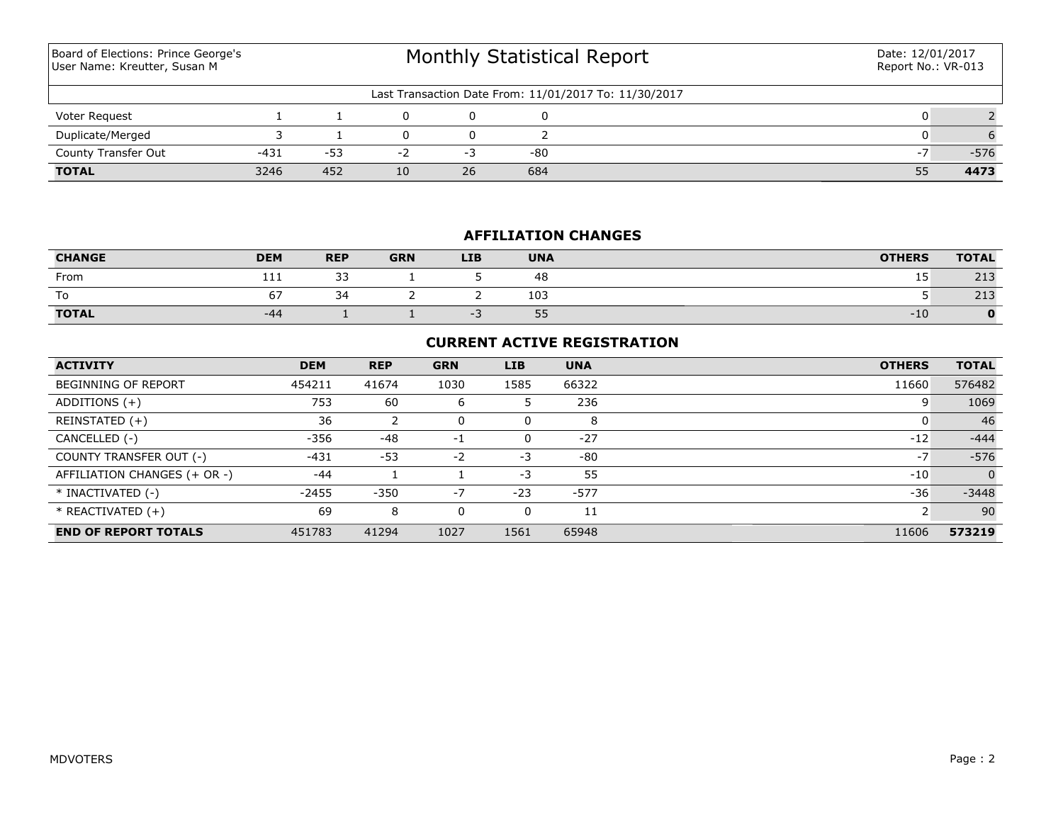| Board of Elections: Prince George's<br>User Name: Kreutter, Susan M |        | <b>Monthly Statistical Report</b> |    |    |     |                                                       | Date: 12/01/2017<br>Report No.: VR-013 |        |
|---------------------------------------------------------------------|--------|-----------------------------------|----|----|-----|-------------------------------------------------------|----------------------------------------|--------|
|                                                                     |        |                                   |    |    |     | Last Transaction Date From: 11/01/2017 To: 11/30/2017 |                                        |        |
| Voter Request                                                       |        |                                   |    |    |     |                                                       |                                        |        |
| Duplicate/Merged                                                    |        |                                   |    |    |     |                                                       |                                        |        |
| County Transfer Out                                                 | $-431$ | $-53$                             | -2 | -3 | -80 |                                                       | $\sim$ $\lambda$                       | $-576$ |
| <b>TOTAL</b>                                                        | 3246   | 452                               | 10 | 26 | 684 |                                                       | 55                                     | 4473   |

## **AFFILIATION CHANGES**

| <b>CHANGE</b> | <b>DEM</b> | <b>REP</b>          | <b>GRN</b> | <b>LIB</b> | <b>UNA</b> | <b>OTHERS</b> | <b>TOTAL</b>            |
|---------------|------------|---------------------|------------|------------|------------|---------------|-------------------------|
| From          | 111        | $\sim$<br><u>JJ</u> |            |            | 48         | 15<br>ᅩ       | 712<br>ل 1 ے            |
| To            |            | $\sim$<br>34        |            |            | 103        |               | $\sim$ $\sim$<br>ں ہے ک |
| <b>TOTAL</b>  | -44        |                     |            |            | 55         | $-10$         | $\mathbf{O}$            |

## **CURRENT ACTIVE REGISTRATION**

| <b>ACTIVITY</b>              | <b>DEM</b> | <b>REP</b> | <b>GRN</b> | <b>LIB</b> | <b>UNA</b> | <b>OTHERS</b> | <b>TOTAL</b>   |
|------------------------------|------------|------------|------------|------------|------------|---------------|----------------|
| <b>BEGINNING OF REPORT</b>   | 454211     | 41674      | 1030       | 1585       | 66322      | 11660         | 576482         |
| ADDITIONS $(+)$              | 753        | 60         | 6          |            | 236        | 9             | 1069           |
| REINSTATED (+)               | 36         |            |            | 0          | 8          |               | 46             |
| CANCELLED (-)                | $-356$     | $-48$      | $-1$       | 0          | $-27$      | $-12$         | $-444$         |
| COUNTY TRANSFER OUT (-)      | $-431$     | $-53$      | -2         | $-3$       | $-80$      | $-7$          | $-576$         |
| AFFILIATION CHANGES (+ OR -) | $-44$      |            |            | $-3$       | 55         | $-10$         | $\overline{0}$ |
| * INACTIVATED (-)            | $-2455$    | $-350$     | $-7$       | $-23$      | $-577$     | $-36$         | $-3448$        |
| $*$ REACTIVATED $(+)$        | 69         | 8          |            | 0          | 11         |               | 90             |
| <b>END OF REPORT TOTALS</b>  | 451783     | 41294      | 1027       | 1561       | 65948      | 11606         | 573219         |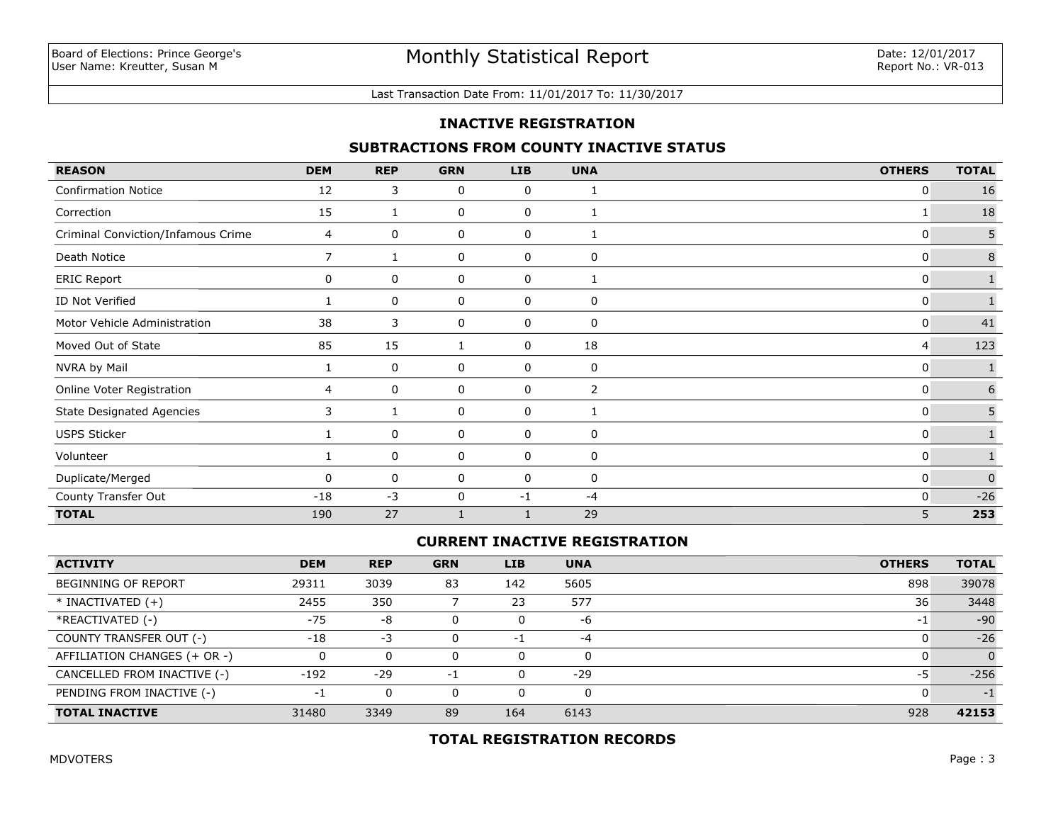#### Last Transaction Date From: 11/01/2017 To: 11/30/2017

#### **INACTIVE REGISTRATION**

#### **SUBTRACTIONS FROM COUNTY INACTIVE STATUS**

| <b>REASON</b>                      | <b>DEM</b> | <b>REP</b> | <b>GRN</b> | <b>LIB</b>   | <b>UNA</b>   | <b>OTHERS</b> | <b>TOTAL</b>     |
|------------------------------------|------------|------------|------------|--------------|--------------|---------------|------------------|
| <b>Confirmation Notice</b>         | 12         | 3          | 0          | 0            | 1            | 0             | 16               |
| Correction                         | 15         | 1          | 0          | 0            | 1            | 1             | 18               |
| Criminal Conviction/Infamous Crime | 4          | 0          | 0          | 0            | 1            | 0             | 5                |
| Death Notice                       | 7          |            | 0          | 0            | 0            | 0             | 8                |
| <b>ERIC Report</b>                 | 0          | 0          | 0          | 0            | $\mathbf{1}$ | 0             |                  |
| ID Not Verified                    |            | 0          | 0          | 0            | 0            | 0             |                  |
| Motor Vehicle Administration       | 38         | 3          | 0          | 0            | 0            | 0             | 41               |
| Moved Out of State                 | 85         | 15         | 1          | 0            | 18           | 4             | 123              |
| NVRA by Mail                       |            | 0          | 0          | 0            | $\mathbf 0$  | 0             | $\mathbf{1}$     |
| Online Voter Registration          | 4          | 0          | 0          | 0            | 2            | 0             | $\boldsymbol{6}$ |
| <b>State Designated Agencies</b>   | 3          |            | 0          | 0            | 1            | 0             | 5                |
| <b>USPS Sticker</b>                |            | 0          | 0          | 0            | $\mathbf 0$  | 0             | $\mathbf{1}$     |
| Volunteer                          |            | 0          | 0          | 0            | 0            | 0             |                  |
| Duplicate/Merged                   | $\Omega$   | 0          | 0          | 0            | $\mathbf 0$  | 0             | $\overline{0}$   |
| County Transfer Out                | $-18$      | $-3$       | 0          | $-1$         | -4           | 0             | $-26$            |
| <b>TOTAL</b>                       | 190        | 27         |            | $\mathbf{1}$ | 29           | 5             | 253              |

#### **CURRENT INACTIVE REGISTRATION**

| <b>ACTIVITY</b>              | <b>DEM</b> | <b>REP</b> | <b>GRN</b> | <b>LIB</b> | <b>UNA</b> | <b>OTHERS</b> | <b>TOTAL</b> |
|------------------------------|------------|------------|------------|------------|------------|---------------|--------------|
| BEGINNING OF REPORT          | 29311      | 3039       | 83         | 142        | 5605       | 898           | 39078        |
| $*$ INACTIVATED $(+)$        | 2455       | 350        |            | 23         | 577        | 36            | 3448         |
| *REACTIVATED (-)             | $-75$      | -8         |            |            | -6         | -1            | $-90$        |
| COUNTY TRANSFER OUT (-)      | $-18$      | $-3$       |            | -1         | $-4$       |               | $-26$        |
| AFFILIATION CHANGES (+ OR -) |            | 0          |            |            | 0          |               |              |
| CANCELLED FROM INACTIVE (-)  | $-192$     | $-29$      | - 1        |            | $-29$      | -5            | $-256$       |
| PENDING FROM INACTIVE (-)    | ÷,         | 0          |            |            | 0          |               | $-1$         |
| <b>TOTAL INACTIVE</b>        | 31480      | 3349       | 89         | 164        | 6143       | 928           | 42153        |

## **TOTAL REGISTRATION RECORDS**